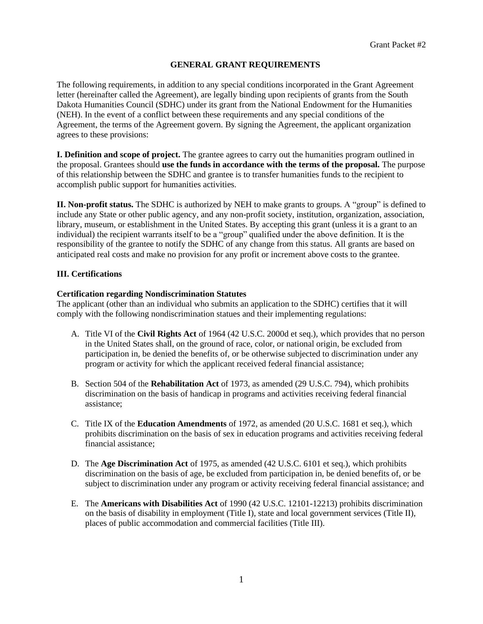# **GENERAL GRANT REQUIREMENTS**

The following requirements, in addition to any special conditions incorporated in the Grant Agreement letter (hereinafter called the Agreement), are legally binding upon recipients of grants from the South Dakota Humanities Council (SDHC) under its grant from the National Endowment for the Humanities (NEH). In the event of a conflict between these requirements and any special conditions of the Agreement, the terms of the Agreement govern. By signing the Agreement, the applicant organization agrees to these provisions:

**I. Definition and scope of project.** The grantee agrees to carry out the humanities program outlined in the proposal. Grantees should **use the funds in accordance with the terms of the proposal.** The purpose of this relationship between the SDHC and grantee is to transfer humanities funds to the recipient to accomplish public support for humanities activities.

**II. Non-profit status.** The SDHC is authorized by NEH to make grants to groups. A "group" is defined to include any State or other public agency, and any non-profit society, institution, organization, association, library, museum, or establishment in the United States. By accepting this grant (unless it is a grant to an individual) the recipient warrants itself to be a "group" qualified under the above definition. It is the responsibility of the grantee to notify the SDHC of any change from this status. All grants are based on anticipated real costs and make no provision for any profit or increment above costs to the grantee.

#### **III. Certifications**

#### **Certification regarding Nondiscrimination Statutes**

The applicant (other than an individual who submits an application to the SDHC) certifies that it will comply with the following nondiscrimination statues and their implementing regulations:

- A. Title VI of the **Civil Rights Act** of 1964 (42 U.S.C. 2000d et seq.), which provides that no person in the United States shall, on the ground of race, color, or national origin, be excluded from participation in, be denied the benefits of, or be otherwise subjected to discrimination under any program or activity for which the applicant received federal financial assistance;
- B. Section 504 of the **Rehabilitation Act** of 1973, as amended (29 U.S.C. 794), which prohibits discrimination on the basis of handicap in programs and activities receiving federal financial assistance;
- C. Title IX of the **Education Amendments** of 1972, as amended (20 U.S.C. 1681 et seq.), which prohibits discrimination on the basis of sex in education programs and activities receiving federal financial assistance;
- D. The **Age Discrimination Act** of 1975, as amended (42 U.S.C. 6101 et seq.), which prohibits discrimination on the basis of age, be excluded from participation in, be denied benefits of, or be subject to discrimination under any program or activity receiving federal financial assistance; and
- E. The **Americans with Disabilities Act** of 1990 (42 U.S.C. 12101-12213) prohibits discrimination on the basis of disability in employment (Title I), state and local government services (Title II), places of public accommodation and commercial facilities (Title III).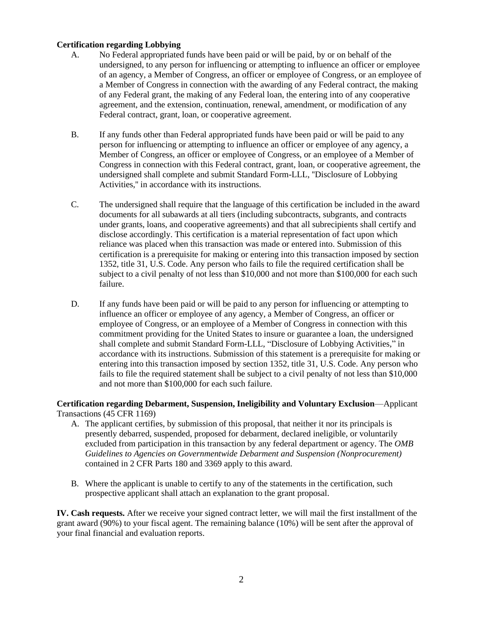# **Certification regarding Lobbying**

- A. No Federal appropriated funds have been paid or will be paid, by or on behalf of the undersigned, to any person for influencing or attempting to influence an officer or employee of an agency, a Member of Congress, an officer or employee of Congress, or an employee of a Member of Congress in connection with the awarding of any Federal contract, the making of any Federal grant, the making of any Federal loan, the entering into of any cooperative agreement, and the extension, continuation, renewal, amendment, or modification of any Federal contract, grant, loan, or cooperative agreement.
- B. If any funds other than Federal appropriated funds have been paid or will be paid to any person for influencing or attempting to influence an officer or employee of any agency, a Member of Congress, an officer or employee of Congress, or an employee of a Member of Congress in connection with this Federal contract, grant, loan, or cooperative agreement, the undersigned shall complete and submit Standard Form-LLL, ''Disclosure of Lobbying Activities,'' in accordance with its instructions.
- C. The undersigned shall require that the language of this certification be included in the award documents for all subawards at all tiers (including subcontracts, subgrants, and contracts under grants, loans, and cooperative agreements) and that all subrecipients shall certify and disclose accordingly. This certification is a material representation of fact upon which reliance was placed when this transaction was made or entered into. Submission of this certification is a prerequisite for making or entering into this transaction imposed by section 1352, title 31, U.S. Code. Any person who fails to file the required certification shall be subject to a civil penalty of not less than \$10,000 and not more than \$100,000 for each such failure.
- D. If any funds have been paid or will be paid to any person for influencing or attempting to influence an officer or employee of any agency, a Member of Congress, an officer or employee of Congress, or an employee of a Member of Congress in connection with this commitment providing for the United States to insure or guarantee a loan, the undersigned shall complete and submit Standard Form-LLL, "Disclosure of Lobbying Activities," in accordance with its instructions. Submission of this statement is a prerequisite for making or entering into this transaction imposed by section 1352, title 31, U.S. Code. Any person who fails to file the required statement shall be subject to a civil penalty of not less than \$10,000 and not more than \$100,000 for each such failure.

**Certification regarding Debarment, Suspension, Ineligibility and Voluntary Exclusion**—Applicant Transactions (45 CFR 1169)

- A. The applicant certifies, by submission of this proposal, that neither it nor its principals is presently debarred, suspended, proposed for debarment, declared ineligible, or voluntarily excluded from participation in this transaction by any federal department or agency. The *OMB Guidelines to Agencies on Governmentwide Debarment and Suspension (Nonprocurement)*  contained in 2 CFR Parts 180 and 3369 apply to this award.
- B. Where the applicant is unable to certify to any of the statements in the certification, such prospective applicant shall attach an explanation to the grant proposal.

**IV. Cash requests.** After we receive your signed contract letter, we will mail the first installment of the grant award (90%) to your fiscal agent. The remaining balance (10%) will be sent after the approval of your final financial and evaluation reports.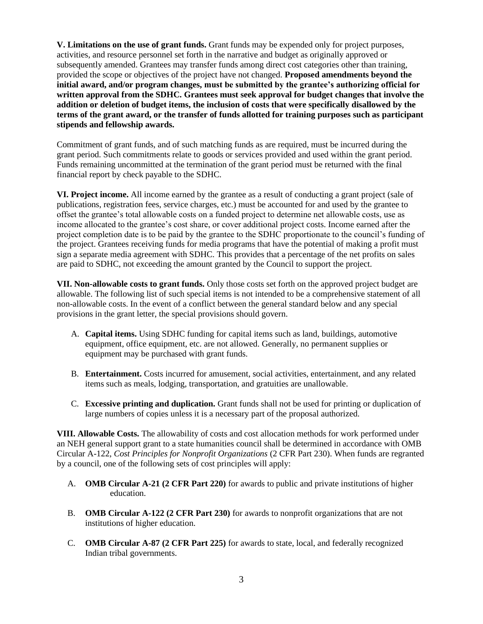**V. Limitations on the use of grant funds.** Grant funds may be expended only for project purposes, activities, and resource personnel set forth in the narrative and budget as originally approved or subsequently amended. Grantees may transfer funds among direct cost categories other than training, provided the scope or objectives of the project have not changed. **Proposed amendments beyond the initial award, and/or program changes, must be submitted by the grantee's authorizing official for written approval from the SDHC. Grantees must seek approval for budget changes that involve the addition or deletion of budget items, the inclusion of costs that were specifically disallowed by the terms of the grant award, or the transfer of funds allotted for training purposes such as participant stipends and fellowship awards.**

Commitment of grant funds, and of such matching funds as are required, must be incurred during the grant period. Such commitments relate to goods or services provided and used within the grant period. Funds remaining uncommitted at the termination of the grant period must be returned with the final financial report by check payable to the SDHC.

**VI. Project income.** All income earned by the grantee as a result of conducting a grant project (sale of publications, registration fees, service charges, etc.) must be accounted for and used by the grantee to offset the grantee's total allowable costs on a funded project to determine net allowable costs, use as income allocated to the grantee's cost share, or cover additional project costs. Income earned after the project completion date is to be paid by the grantee to the SDHC proportionate to the council's funding of the project. Grantees receiving funds for media programs that have the potential of making a profit must sign a separate media agreement with SDHC. This provides that a percentage of the net profits on sales are paid to SDHC, not exceeding the amount granted by the Council to support the project.

**VII. Non-allowable costs to grant funds.** Only those costs set forth on the approved project budget are allowable. The following list of such special items is not intended to be a comprehensive statement of all non-allowable costs. In the event of a conflict between the general standard below and any special provisions in the grant letter, the special provisions should govern.

- A. **Capital items.** Using SDHC funding for capital items such as land, buildings, automotive equipment, office equipment, etc. are not allowed. Generally, no permanent supplies or equipment may be purchased with grant funds.
- B. **Entertainment.** Costs incurred for amusement, social activities, entertainment, and any related items such as meals, lodging, transportation, and gratuities are unallowable.
- C. **Excessive printing and duplication.** Grant funds shall not be used for printing or duplication of large numbers of copies unless it is a necessary part of the proposal authorized.

**VIII. Allowable Costs.** The allowability of costs and cost allocation methods for work performed under an NEH general support grant to a state humanities council shall be determined in accordance with OMB Circular A-122, *Cost Principles for Nonprofit Organizations* (2 CFR Part 230). When funds are regranted by a council, one of the following sets of cost principles will apply:

- A. **OMB Circular A-21 (2 CFR Part 220)** for awards to public and private institutions of higher education.
- B. **OMB Circular A-122 (2 CFR Part 230)** for awards to nonprofit organizations that are not institutions of higher education.
- C. **OMB Circular A-87 (2 CFR Part 225)** for awards to state, local, and federally recognized Indian tribal governments.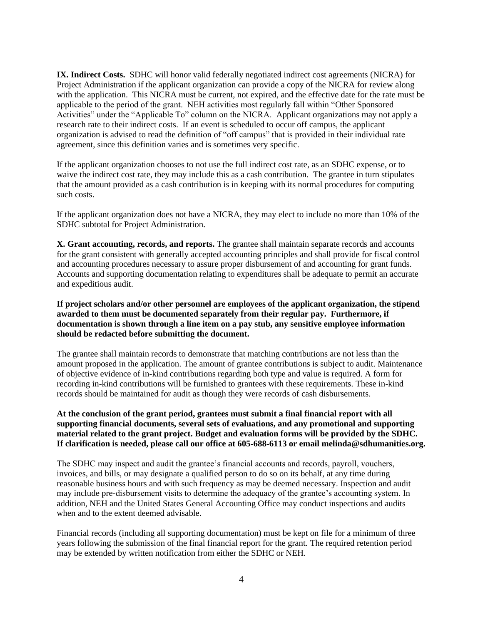**IX. Indirect Costs.** SDHC will honor valid federally negotiated indirect cost agreements (NICRA) for Project Administration if the applicant organization can provide a copy of the NICRA for review along with the application. This NICRA must be current, not expired, and the effective date for the rate must be applicable to the period of the grant. NEH activities most regularly fall within "Other Sponsored Activities" under the "Applicable To" column on the NICRA. Applicant organizations may not apply a research rate to their indirect costs. If an event is scheduled to occur off campus, the applicant organization is advised to read the definition of "off campus" that is provided in their individual rate agreement, since this definition varies and is sometimes very specific.

If the applicant organization chooses to not use the full indirect cost rate, as an SDHC expense, or to waive the indirect cost rate, they may include this as a cash contribution. The grantee in turn stipulates that the amount provided as a cash contribution is in keeping with its normal procedures for computing such costs.

If the applicant organization does not have a NICRA, they may elect to include no more than 10% of the SDHC subtotal for Project Administration.

**X. Grant accounting, records, and reports.** The grantee shall maintain separate records and accounts for the grant consistent with generally accepted accounting principles and shall provide for fiscal control and accounting procedures necessary to assure proper disbursement of and accounting for grant funds. Accounts and supporting documentation relating to expenditures shall be adequate to permit an accurate and expeditious audit.

### **If project scholars and/or other personnel are employees of the applicant organization, the stipend awarded to them must be documented separately from their regular pay. Furthermore, if documentation is shown through a line item on a pay stub, any sensitive employee information should be redacted before submitting the document.**

The grantee shall maintain records to demonstrate that matching contributions are not less than the amount proposed in the application. The amount of grantee contributions is subject to audit. Maintenance of objective evidence of in-kind contributions regarding both type and value is required. A form for recording in-kind contributions will be furnished to grantees with these requirements. These in-kind records should be maintained for audit as though they were records of cash disbursements.

### **At the conclusion of the grant period, grantees must submit a final financial report with all supporting financial documents, several sets of evaluations, and any promotional and supporting material related to the grant project. Budget and evaluation forms will be provided by the SDHC. If clarification is needed, please call our office at 605-688-6113 or email melinda@sdhumanities.org.**

The SDHC may inspect and audit the grantee's financial accounts and records, payroll, vouchers, invoices, and bills, or may designate a qualified person to do so on its behalf, at any time during reasonable business hours and with such frequency as may be deemed necessary. Inspection and audit may include pre-disbursement visits to determine the adequacy of the grantee's accounting system. In addition, NEH and the United States General Accounting Office may conduct inspections and audits when and to the extent deemed advisable.

Financial records (including all supporting documentation) must be kept on file for a minimum of three years following the submission of the final financial report for the grant. The required retention period may be extended by written notification from either the SDHC or NEH.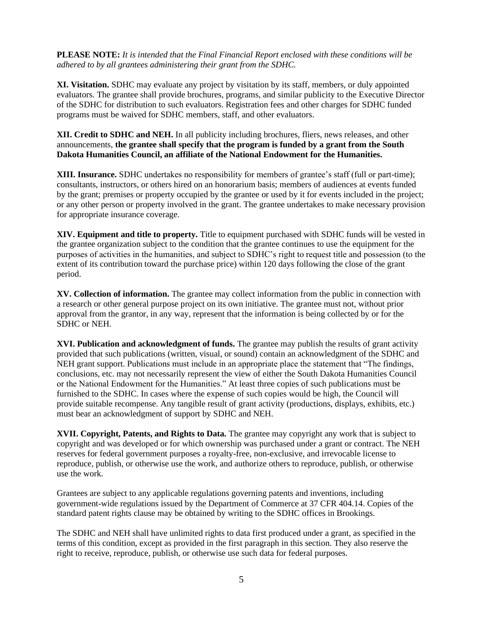**PLEASE NOTE:** *It is intended that the Final Financial Report enclosed with these conditions will be adhered to by all grantees administering their grant from the SDHC.*

**XI. Visitation.** SDHC may evaluate any project by visitation by its staff, members, or duly appointed evaluators. The grantee shall provide brochures, programs, and similar publicity to the Executive Director of the SDHC for distribution to such evaluators. Registration fees and other charges for SDHC funded programs must be waived for SDHC members, staff, and other evaluators.

**XII. Credit to SDHC and NEH.** In all publicity including brochures, fliers, news releases, and other announcements, **the grantee shall specify that the program is funded by a grant from the South Dakota Humanities Council, an affiliate of the National Endowment for the Humanities.** 

**XIII. Insurance.** SDHC undertakes no responsibility for members of grantee's staff (full or part-time); consultants, instructors, or others hired on an honorarium basis; members of audiences at events funded by the grant; premises or property occupied by the grantee or used by it for events included in the project; or any other person or property involved in the grant. The grantee undertakes to make necessary provision for appropriate insurance coverage.

**XIV. Equipment and title to property.** Title to equipment purchased with SDHC funds will be vested in the grantee organization subject to the condition that the grantee continues to use the equipment for the purposes of activities in the humanities, and subject to SDHC's right to request title and possession (to the extent of its contribution toward the purchase price) within 120 days following the close of the grant period.

**XV. Collection of information.** The grantee may collect information from the public in connection with a research or other general purpose project on its own initiative. The grantee must not, without prior approval from the grantor, in any way, represent that the information is being collected by or for the SDHC or NEH.

**XVI. Publication and acknowledgment of funds.** The grantee may publish the results of grant activity provided that such publications (written, visual, or sound) contain an acknowledgment of the SDHC and NEH grant support. Publications must include in an appropriate place the statement that "The findings, conclusions, etc. may not necessarily represent the view of either the South Dakota Humanities Council or the National Endowment for the Humanities." At least three copies of such publications must be furnished to the SDHC. In cases where the expense of such copies would be high, the Council will provide suitable recompense. Any tangible result of grant activity (productions, displays, exhibits, etc.) must bear an acknowledgment of support by SDHC and NEH.

**XVII. Copyright, Patents, and Rights to Data.** The grantee may copyright any work that is subject to copyright and was developed or for which ownership was purchased under a grant or contract. The NEH reserves for federal government purposes a royalty-free, non-exclusive, and irrevocable license to reproduce, publish, or otherwise use the work, and authorize others to reproduce, publish, or otherwise use the work.

Grantees are subject to any applicable regulations governing patents and inventions, including government-wide regulations issued by the Department of Commerce at 37 CFR 404.14. Copies of the standard patent rights clause may be obtained by writing to the SDHC offices in Brookings.

The SDHC and NEH shall have unlimited rights to data first produced under a grant, as specified in the terms of this condition, except as provided in the first paragraph in this section. They also reserve the right to receive, reproduce, publish, or otherwise use such data for federal purposes.